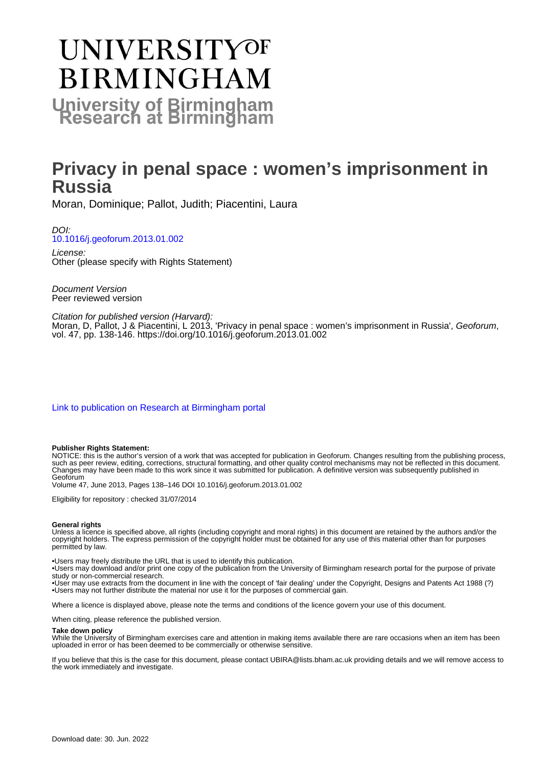# **UNIVERSITYOF BIRMINGHAM University of Birmingham**

# **Privacy in penal space : women's imprisonment in Russia**

Moran, Dominique; Pallot, Judith; Piacentini, Laura

DOI: [10.1016/j.geoforum.2013.01.002](https://doi.org/10.1016/j.geoforum.2013.01.002)

License: Other (please specify with Rights Statement)

Document Version Peer reviewed version

#### Citation for published version (Harvard):

Moran, D, Pallot, J & Piacentini, L 2013, 'Privacy in penal space : women's imprisonment in Russia', Geoforum, vol. 47, pp. 138-146. <https://doi.org/10.1016/j.geoforum.2013.01.002>

[Link to publication on Research at Birmingham portal](https://birmingham.elsevierpure.com/en/publications/23eb5d7a-874c-410c-98e6-8594d11ec3c7)

#### **Publisher Rights Statement:**

NOTICE: this is the author's version of a work that was accepted for publication in Geoforum. Changes resulting from the publishing process, such as peer review, editing, corrections, structural formatting, and other quality control mechanisms may not be reflected in this document. Changes may have been made to this work since it was submitted for publication. A definitive version was subsequently published in Geoforum

Volume 47, June 2013, Pages 138–146 DOI 10.1016/j.geoforum.2013.01.002

Eligibility for repository : checked 31/07/2014

#### **General rights**

Unless a licence is specified above, all rights (including copyright and moral rights) in this document are retained by the authors and/or the copyright holders. The express permission of the copyright holder must be obtained for any use of this material other than for purposes permitted by law.

• Users may freely distribute the URL that is used to identify this publication.

• Users may download and/or print one copy of the publication from the University of Birmingham research portal for the purpose of private study or non-commercial research.

• User may use extracts from the document in line with the concept of 'fair dealing' under the Copyright, Designs and Patents Act 1988 (?) • Users may not further distribute the material nor use it for the purposes of commercial gain.

Where a licence is displayed above, please note the terms and conditions of the licence govern your use of this document.

When citing, please reference the published version.

#### **Take down policy**

While the University of Birmingham exercises care and attention in making items available there are rare occasions when an item has been uploaded in error or has been deemed to be commercially or otherwise sensitive.

If you believe that this is the case for this document, please contact UBIRA@lists.bham.ac.uk providing details and we will remove access to the work immediately and investigate.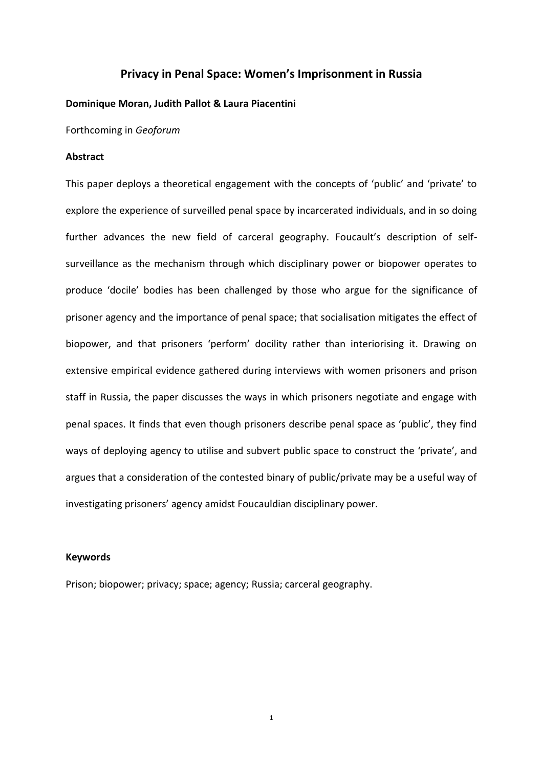# **Privacy in Penal Space: Women's Imprisonment in Russia**

#### **Dominique Moran, Judith Pallot & Laura Piacentini**

Forthcoming in *Geoforum*

# **Abstract**

This paper deploys a theoretical engagement with the concepts of 'public' and 'private' to explore the experience of surveilled penal space by incarcerated individuals, and in so doing further advances the new field of carceral geography. Foucault's description of selfsurveillance as the mechanism through which disciplinary power or biopower operates to produce 'docile' bodies has been challenged by those who argue for the significance of prisoner agency and the importance of penal space; that socialisation mitigates the effect of biopower, and that prisoners 'perform' docility rather than interiorising it. Drawing on extensive empirical evidence gathered during interviews with women prisoners and prison staff in Russia, the paper discusses the ways in which prisoners negotiate and engage with penal spaces. It finds that even though prisoners describe penal space as 'public', they find ways of deploying agency to utilise and subvert public space to construct the 'private', and argues that a consideration of the contested binary of public/private may be a useful way of investigating prisoners' agency amidst Foucauldian disciplinary power.

#### **Keywords**

Prison; biopower; privacy; space; agency; Russia; carceral geography.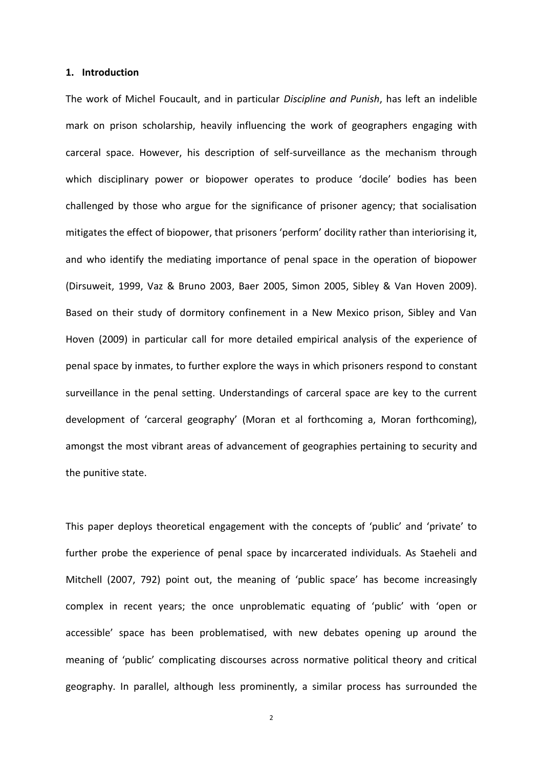#### **1. Introduction**

The work of Michel Foucault, and in particular *Discipline and Punish*, has left an indelible mark on prison scholarship, heavily influencing the work of geographers engaging with carceral space. However, his description of self-surveillance as the mechanism through which disciplinary power or biopower operates to produce 'docile' bodies has been challenged by those who argue for the significance of prisoner agency; that socialisation mitigates the effect of biopower, that prisoners 'perform' docility rather than interiorising it, and who identify the mediating importance of penal space in the operation of biopower (Dirsuweit, 1999, Vaz & Bruno 2003, Baer 2005, Simon 2005, Sibley & Van Hoven 2009). Based on their study of dormitory confinement in a New Mexico prison, Sibley and Van Hoven (2009) in particular call for more detailed empirical analysis of the experience of penal space by inmates, to further explore the ways in which prisoners respond to constant surveillance in the penal setting. Understandings of carceral space are key to the current development of 'carceral geography' (Moran et al forthcoming a, Moran forthcoming), amongst the most vibrant areas of advancement of geographies pertaining to security and the punitive state.

This paper deploys theoretical engagement with the concepts of 'public' and 'private' to further probe the experience of penal space by incarcerated individuals. As Staeheli and Mitchell (2007, 792) point out, the meaning of 'public space' has become increasingly complex in recent years; the once unproblematic equating of 'public' with 'open or accessible' space has been problematised, with new debates opening up around the meaning of 'public' complicating discourses across normative political theory and critical geography. In parallel, although less prominently, a similar process has surrounded the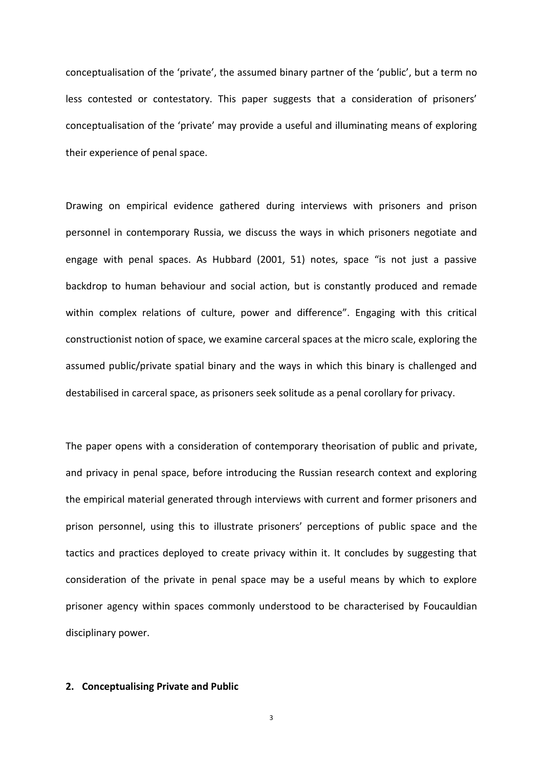conceptualisation of the 'private', the assumed binary partner of the 'public', but a term no less contested or contestatory. This paper suggests that a consideration of prisoners' conceptualisation of the 'private' may provide a useful and illuminating means of exploring their experience of penal space.

Drawing on empirical evidence gathered during interviews with prisoners and prison personnel in contemporary Russia, we discuss the ways in which prisoners negotiate and engage with penal spaces. As Hubbard (2001, 51) notes, space "is not just a passive backdrop to human behaviour and social action, but is constantly produced and remade within complex relations of culture, power and difference". Engaging with this critical constructionist notion of space, we examine carceral spaces at the micro scale, exploring the assumed public/private spatial binary and the ways in which this binary is challenged and destabilised in carceral space, as prisoners seek solitude as a penal corollary for privacy.

The paper opens with a consideration of contemporary theorisation of public and private, and privacy in penal space, before introducing the Russian research context and exploring the empirical material generated through interviews with current and former prisoners and prison personnel, using this to illustrate prisoners' perceptions of public space and the tactics and practices deployed to create privacy within it. It concludes by suggesting that consideration of the private in penal space may be a useful means by which to explore prisoner agency within spaces commonly understood to be characterised by Foucauldian disciplinary power.

# **2. Conceptualising Private and Public**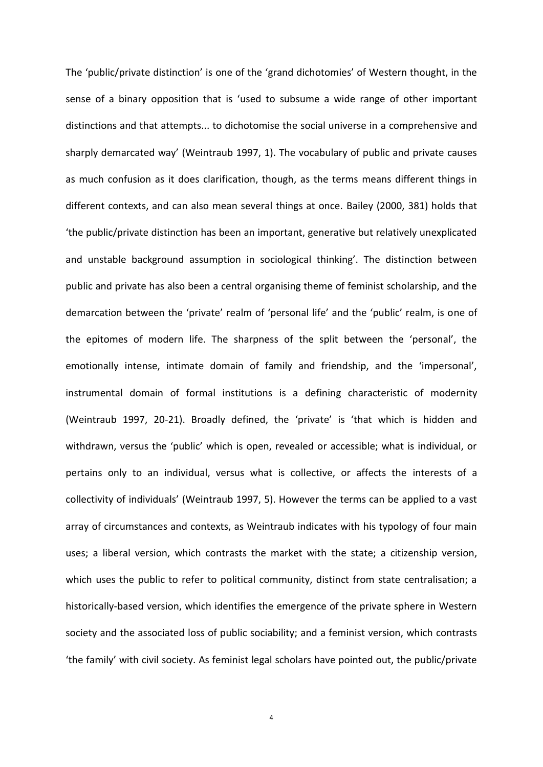The 'public/private distinction' is one of the 'grand dichotomies' of Western thought, in the sense of a binary opposition that is 'used to subsume a wide range of other important distinctions and that attempts... to dichotomise the social universe in a comprehensive and sharply demarcated way' (Weintraub 1997, 1). The vocabulary of public and private causes as much confusion as it does clarification, though, as the terms means different things in different contexts, and can also mean several things at once. Bailey (2000, 381) holds that 'the public/private distinction has been an important, generative but relatively unexplicated and unstable background assumption in sociological thinking'. The distinction between public and private has also been a central organising theme of feminist scholarship, and the demarcation between the 'private' realm of 'personal life' and the 'public' realm, is one of the epitomes of modern life. The sharpness of the split between the 'personal', the emotionally intense, intimate domain of family and friendship, and the 'impersonal', instrumental domain of formal institutions is a defining characteristic of modernity (Weintraub 1997, 20-21). Broadly defined, the 'private' is 'that which is hidden and withdrawn, versus the 'public' which is open, revealed or accessible; what is individual, or pertains only to an individual, versus what is collective, or affects the interests of a collectivity of individuals' (Weintraub 1997, 5). However the terms can be applied to a vast array of circumstances and contexts, as Weintraub indicates with his typology of four main uses; a liberal version, which contrasts the market with the state; a citizenship version, which uses the public to refer to political community, distinct from state centralisation; a historically-based version, which identifies the emergence of the private sphere in Western society and the associated loss of public sociability; and a feminist version, which contrasts 'the family' with civil society. As feminist legal scholars have pointed out, the public/private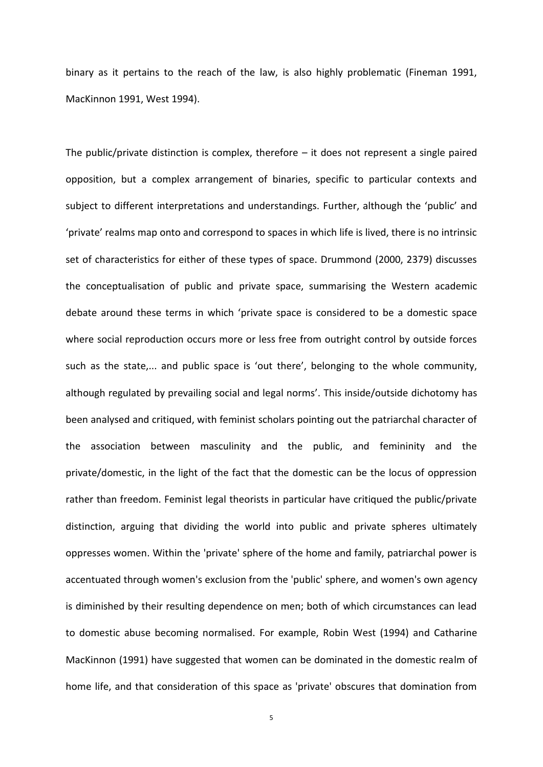binary as it pertains to the reach of the law, is also highly problematic (Fineman 1991, MacKinnon 1991, West 1994).

The public/private distinction is complex, therefore  $-$  it does not represent a single paired opposition, but a complex arrangement of binaries, specific to particular contexts and subject to different interpretations and understandings. Further, although the 'public' and 'private' realms map onto and correspond to spaces in which life is lived, there is no intrinsic set of characteristics for either of these types of space. Drummond (2000, 2379) discusses the conceptualisation of public and private space, summarising the Western academic debate around these terms in which 'private space is considered to be a domestic space where social reproduction occurs more or less free from outright control by outside forces such as the state,... and public space is 'out there', belonging to the whole community, although regulated by prevailing social and legal norms'. This inside/outside dichotomy has been analysed and critiqued, with feminist scholars pointing out the patriarchal character of the association between masculinity and the public, and femininity and the private/domestic, in the light of the fact that the domestic can be the locus of oppression rather than freedom. Feminist legal theorists in particular have critiqued the public/private distinction, arguing that dividing the world into public and private spheres ultimately oppresses women. Within the 'private' sphere of the home and family, patriarchal power is accentuated through women's exclusion from the 'public' sphere, and women's own agency is diminished by their resulting dependence on men; both of which circumstances can lead to domestic abuse becoming normalised. For example, Robin West (1994) and Catharine MacKinnon (1991) have suggested that women can be dominated in the domestic realm of home life, and that consideration of this space as 'private' obscures that domination from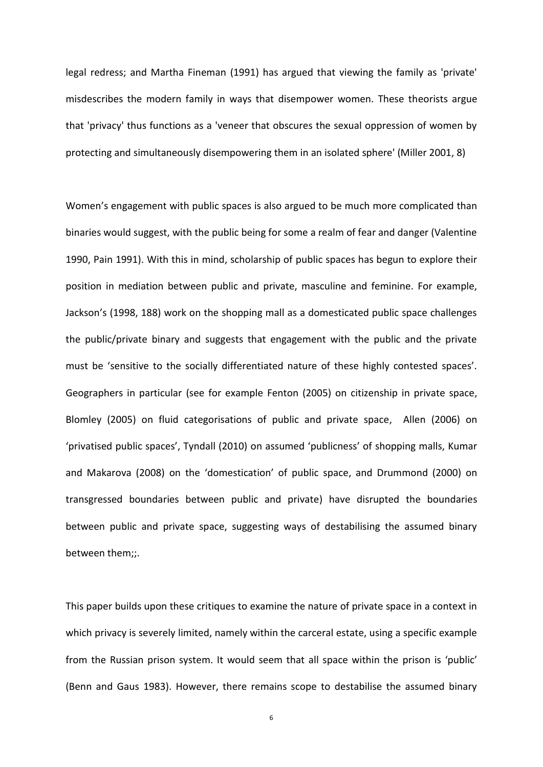legal redress; and Martha Fineman (1991) has argued that viewing the family as 'private' misdescribes the modern family in ways that disempower women. These theorists argue that 'privacy' thus functions as a 'veneer that obscures the sexual oppression of women by protecting and simultaneously disempowering them in an isolated sphere' (Miller 2001, 8)

Women's engagement with public spaces is also argued to be much more complicated than binaries would suggest, with the public being for some a realm of fear and danger (Valentine 1990, Pain 1991). With this in mind, scholarship of public spaces has begun to explore their position in mediation between public and private, masculine and feminine. For example, Jackson's (1998, 188) work on the shopping mall as a domesticated public space challenges the public/private binary and suggests that engagement with the public and the private must be 'sensitive to the socially differentiated nature of these highly contested spaces'. Geographers in particular (see for example Fenton (2005) on citizenship in private space, Blomley (2005) on fluid categorisations of public and private space, Allen (2006) on 'privatised public spaces', Tyndall (2010) on assumed 'publicness' of shopping malls, Kumar and Makarova (2008) on the 'domestication' of public space, and Drummond (2000) on transgressed boundaries between public and private) have disrupted the boundaries between public and private space, suggesting ways of destabilising the assumed binary between them;;.

This paper builds upon these critiques to examine the nature of private space in a context in which privacy is severely limited, namely within the carceral estate, using a specific example from the Russian prison system. It would seem that all space within the prison is 'public' (Benn and Gaus 1983). However, there remains scope to destabilise the assumed binary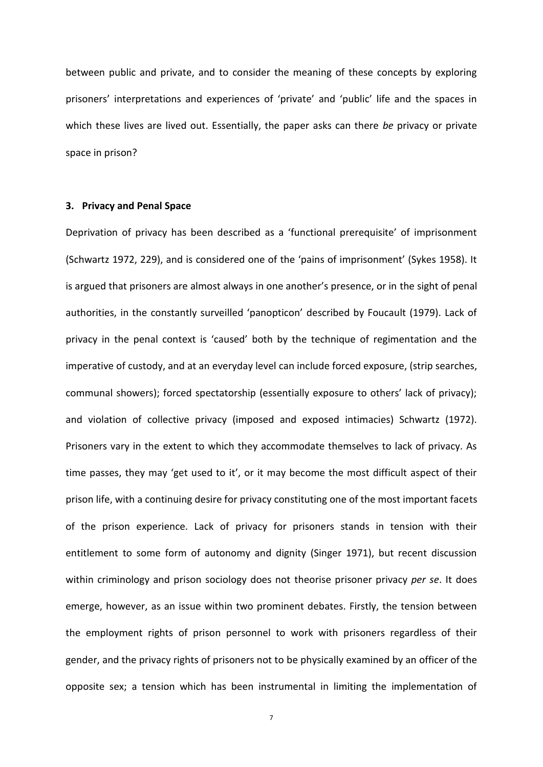between public and private, and to consider the meaning of these concepts by exploring prisoners' interpretations and experiences of 'private' and 'public' life and the spaces in which these lives are lived out. Essentially, the paper asks can there *be* privacy or private space in prison?

# **3. Privacy and Penal Space**

Deprivation of privacy has been described as a 'functional prerequisite' of imprisonment (Schwartz 1972, 229), and is considered one of the 'pains of imprisonment' (Sykes 1958). It is argued that prisoners are almost always in one another's presence, or in the sight of penal authorities, in the constantly surveilled 'panopticon' described by Foucault (1979). Lack of privacy in the penal context is 'caused' both by the technique of regimentation and the imperative of custody, and at an everyday level can include forced exposure, (strip searches, communal showers); forced spectatorship (essentially exposure to others' lack of privacy); and violation of collective privacy (imposed and exposed intimacies) Schwartz (1972). Prisoners vary in the extent to which they accommodate themselves to lack of privacy. As time passes, they may 'get used to it', or it may become the most difficult aspect of their prison life, with a continuing desire for privacy constituting one of the most important facets of the prison experience. Lack of privacy for prisoners stands in tension with their entitlement to some form of autonomy and dignity (Singer 1971), but recent discussion within criminology and prison sociology does not theorise prisoner privacy *per se*. It does emerge, however, as an issue within two prominent debates. Firstly, the tension between the employment rights of prison personnel to work with prisoners regardless of their gender, and the privacy rights of prisoners not to be physically examined by an officer of the opposite sex; a tension which has been instrumental in limiting the implementation of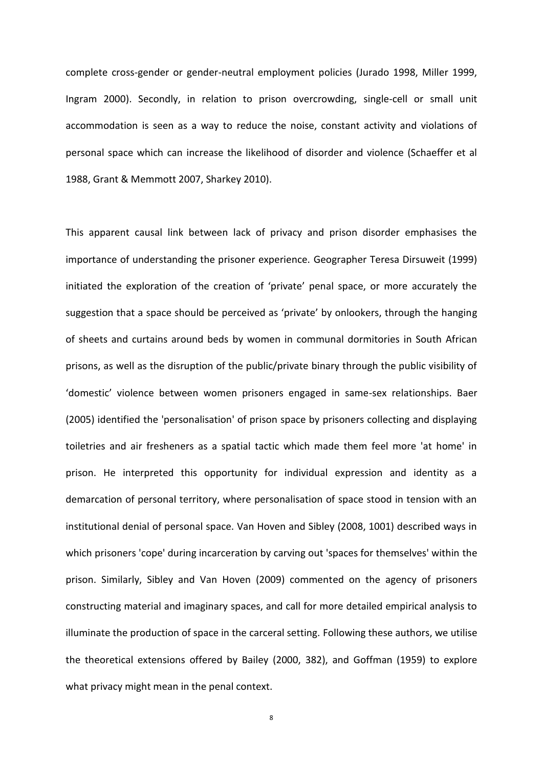complete cross-gender or gender-neutral employment policies (Jurado 1998, Miller 1999, Ingram 2000). Secondly, in relation to prison overcrowding, single-cell or small unit accommodation is seen as a way to reduce the noise, constant activity and violations of personal space which can increase the likelihood of disorder and violence (Schaeffer et al 1988, Grant & Memmott 2007, Sharkey 2010).

This apparent causal link between lack of privacy and prison disorder emphasises the importance of understanding the prisoner experience. Geographer Teresa Dirsuweit (1999) initiated the exploration of the creation of 'private' penal space, or more accurately the suggestion that a space should be perceived as 'private' by onlookers, through the hanging of sheets and curtains around beds by women in communal dormitories in South African prisons, as well as the disruption of the public/private binary through the public visibility of 'domestic' violence between women prisoners engaged in same-sex relationships. Baer (2005) identified the 'personalisation' of prison space by prisoners collecting and displaying toiletries and air fresheners as a spatial tactic which made them feel more 'at home' in prison. He interpreted this opportunity for individual expression and identity as a demarcation of personal territory, where personalisation of space stood in tension with an institutional denial of personal space. Van Hoven and Sibley (2008, 1001) described ways in which prisoners 'cope' during incarceration by carving out 'spaces for themselves' within the prison. Similarly, Sibley and Van Hoven (2009) commented on the agency of prisoners constructing material and imaginary spaces, and call for more detailed empirical analysis to illuminate the production of space in the carceral setting. Following these authors, we utilise the theoretical extensions offered by Bailey (2000, 382), and Goffman (1959) to explore what privacy might mean in the penal context.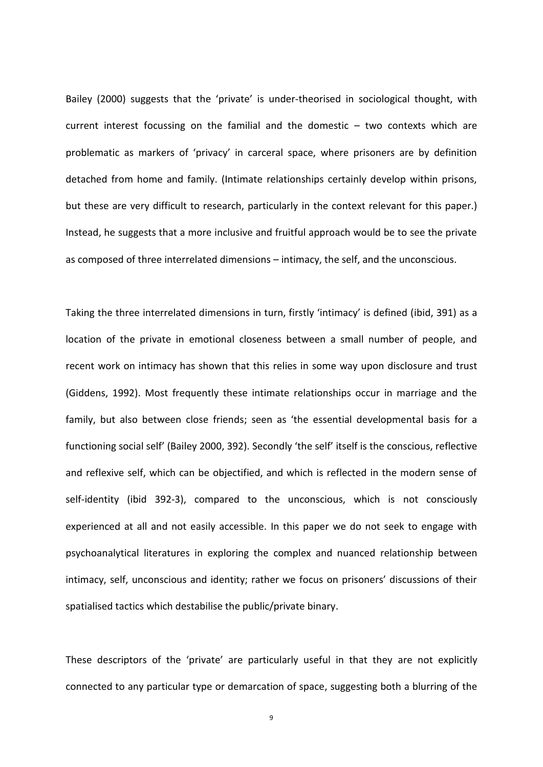Bailey (2000) suggests that the 'private' is under-theorised in sociological thought, with current interest focussing on the familial and the domestic – two contexts which are problematic as markers of 'privacy' in carceral space, where prisoners are by definition detached from home and family. (Intimate relationships certainly develop within prisons, but these are very difficult to research, particularly in the context relevant for this paper.) Instead, he suggests that a more inclusive and fruitful approach would be to see the private as composed of three interrelated dimensions – intimacy, the self, and the unconscious.

Taking the three interrelated dimensions in turn, firstly 'intimacy' is defined (ibid, 391) as a location of the private in emotional closeness between a small number of people, and recent work on intimacy has shown that this relies in some way upon disclosure and trust (Giddens, 1992). Most frequently these intimate relationships occur in marriage and the family, but also between close friends; seen as 'the essential developmental basis for a functioning social self' (Bailey 2000, 392). Secondly 'the self' itself is the conscious, reflective and reflexive self, which can be objectified, and which is reflected in the modern sense of self-identity (ibid 392-3), compared to the unconscious, which is not consciously experienced at all and not easily accessible. In this paper we do not seek to engage with psychoanalytical literatures in exploring the complex and nuanced relationship between intimacy, self, unconscious and identity; rather we focus on prisoners' discussions of their spatialised tactics which destabilise the public/private binary.

These descriptors of the 'private' are particularly useful in that they are not explicitly connected to any particular type or demarcation of space, suggesting both a blurring of the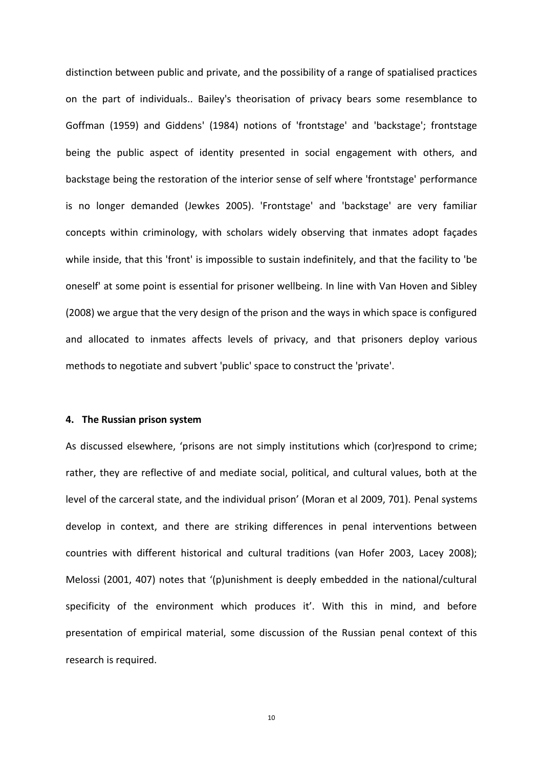distinction between public and private, and the possibility of a range of spatialised practices on the part of individuals.. Bailey's theorisation of privacy bears some resemblance to Goffman (1959) and Giddens' (1984) notions of 'frontstage' and 'backstage'; frontstage being the public aspect of identity presented in social engagement with others, and backstage being the restoration of the interior sense of self where 'frontstage' performance is no longer demanded (Jewkes 2005). 'Frontstage' and 'backstage' are very familiar concepts within criminology, with scholars widely observing that inmates adopt façades while inside, that this 'front' is impossible to sustain indefinitely, and that the facility to 'be oneself' at some point is essential for prisoner wellbeing. In line with Van Hoven and Sibley (2008) we argue that the very design of the prison and the ways in which space is configured and allocated to inmates affects levels of privacy, and that prisoners deploy various methods to negotiate and subvert 'public' space to construct the 'private'.

#### **4. The Russian prison system**

As discussed elsewhere, 'prisons are not simply institutions which (cor)respond to crime; rather, they are reflective of and mediate social, political, and cultural values, both at the level of the carceral state, and the individual prison' (Moran et al 2009, 701). Penal systems develop in context, and there are striking differences in penal interventions between countries with different historical and cultural traditions (van Hofer 2003, Lacey 2008); Melossi (2001, 407) notes that '(p)unishment is deeply embedded in the national/cultural specificity of the environment which produces it'. With this in mind, and before presentation of empirical material, some discussion of the Russian penal context of this research is required.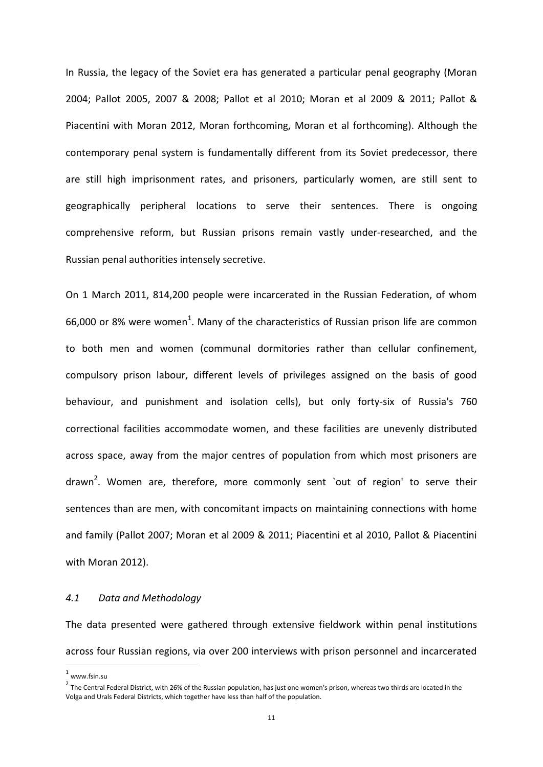In Russia, the legacy of the Soviet era has generated a particular penal geography (Moran 2004; Pallot 2005, 2007 & 2008; Pallot et al 2010; Moran et al 2009 & 2011; Pallot & Piacentini with Moran 2012, Moran forthcoming, Moran et al forthcoming). Although the contemporary penal system is fundamentally different from its Soviet predecessor, there are still high imprisonment rates, and prisoners, particularly women, are still sent to geographically peripheral locations to serve their sentences. There is ongoing comprehensive reform, but Russian prisons remain vastly under-researched, and the Russian penal authorities intensely secretive.

On 1 March 2011, 814,200 people were incarcerated in the Russian Federation, of whom 66,000 or 8% were women<sup>1</sup>. Many of the characteristics of Russian prison life are common to both men and women (communal dormitories rather than cellular confinement, compulsory prison labour, different levels of privileges assigned on the basis of good behaviour, and punishment and isolation cells), but only forty-six of Russia's 760 correctional facilities accommodate women, and these facilities are unevenly distributed across space, away from the major centres of population from which most prisoners are drawn<sup>2</sup>. Women are, therefore, more commonly sent `out of region' to serve their sentences than are men, with concomitant impacts on maintaining connections with home and family (Pallot 2007; Moran et al 2009 & 2011; Piacentini et al 2010, Pallot & Piacentini with Moran 2012).

#### *4.1 Data and Methodology*

The data presented were gathered through extensive fieldwork within penal institutions across four Russian regions, via over 200 interviews with prison personnel and incarcerated

<u>.</u>

 $1$  www.fsin.su

 $^2$  The Central Federal District, with 26% of the Russian population, has just one women's prison, whereas two thirds are located in the Volga and Urals Federal Districts, which together have less than half of the population.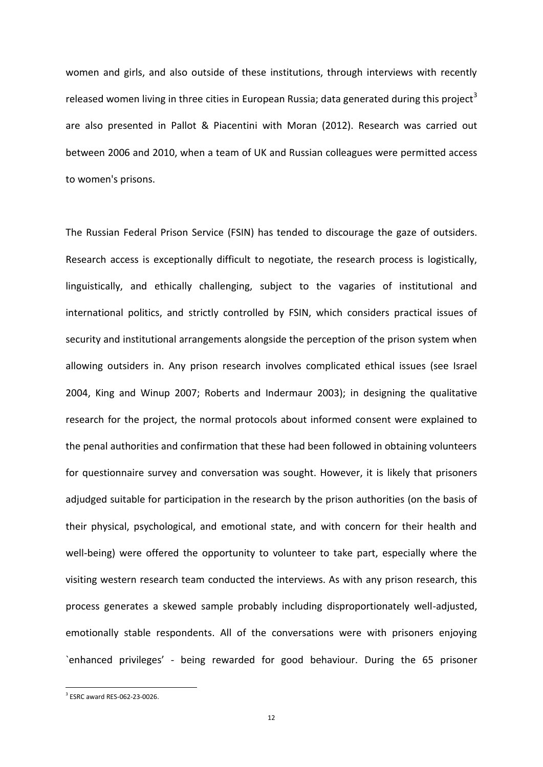women and girls, and also outside of these institutions, through interviews with recently released women living in three cities in European Russia; data generated during this project<sup>3</sup> are also presented in Pallot & Piacentini with Moran (2012). Research was carried out between 2006 and 2010, when a team of UK and Russian colleagues were permitted access to women's prisons.

The Russian Federal Prison Service (FSIN) has tended to discourage the gaze of outsiders. Research access is exceptionally difficult to negotiate, the research process is logistically, linguistically, and ethically challenging, subject to the vagaries of institutional and international politics, and strictly controlled by FSIN, which considers practical issues of security and institutional arrangements alongside the perception of the prison system when allowing outsiders in. Any prison research involves complicated ethical issues (see Israel 2004, King and Winup 2007; Roberts and Indermaur 2003); in designing the qualitative research for the project, the normal protocols about informed consent were explained to the penal authorities and confirmation that these had been followed in obtaining volunteers for questionnaire survey and conversation was sought. However, it is likely that prisoners adjudged suitable for participation in the research by the prison authorities (on the basis of their physical, psychological, and emotional state, and with concern for their health and well-being) were offered the opportunity to volunteer to take part, especially where the visiting western research team conducted the interviews. As with any prison research, this process generates a skewed sample probably including disproportionately well-adjusted, emotionally stable respondents. All of the conversations were with prisoners enjoying `enhanced privileges' - being rewarded for good behaviour. During the 65 prisoner

<u>.</u>

<sup>3</sup> ESRC award RES-062-23-0026.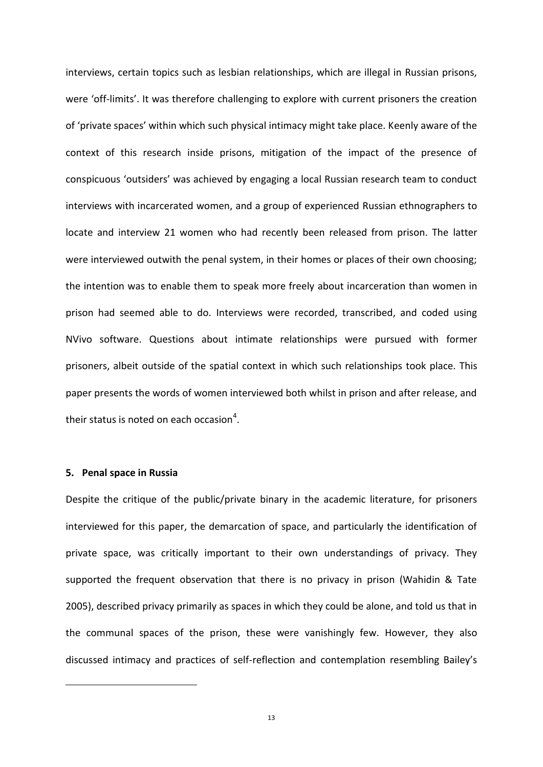interviews, certain topics such as lesbian relationships, which are illegal in Russian prisons, were 'off-limits'. It was therefore challenging to explore with current prisoners the creation of 'private spaces' within which such physical intimacy might take place. Keenly aware of the context of this research inside prisons, mitigation of the impact of the presence of conspicuous 'outsiders' was achieved by engaging a local Russian research team to conduct interviews with incarcerated women, and a group of experienced Russian ethnographers to locate and interview 21 women who had recently been released from prison. The latter were interviewed outwith the penal system, in their homes or places of their own choosing; the intention was to enable them to speak more freely about incarceration than women in prison had seemed able to do. Interviews were recorded, transcribed, and coded using NVivo software. Questions about intimate relationships were pursued with former prisoners, albeit outside of the spatial context in which such relationships took place. This paper presents the words of women interviewed both whilst in prison and after release, and their status is noted on each occasion<sup>4</sup>.

# **5. Penal space in Russia**

1

Despite the critique of the public/private binary in the academic literature, for prisoners interviewed for this paper, the demarcation of space, and particularly the identification of private space, was critically important to their own understandings of privacy. They supported the frequent observation that there is no privacy in prison (Wahidin & Tate 2005), described privacy primarily as spaces in which they could be alone, and told us that in the communal spaces of the prison, these were vanishingly few. However, they also discussed intimacy and practices of self-reflection and contemplation resembling Bailey's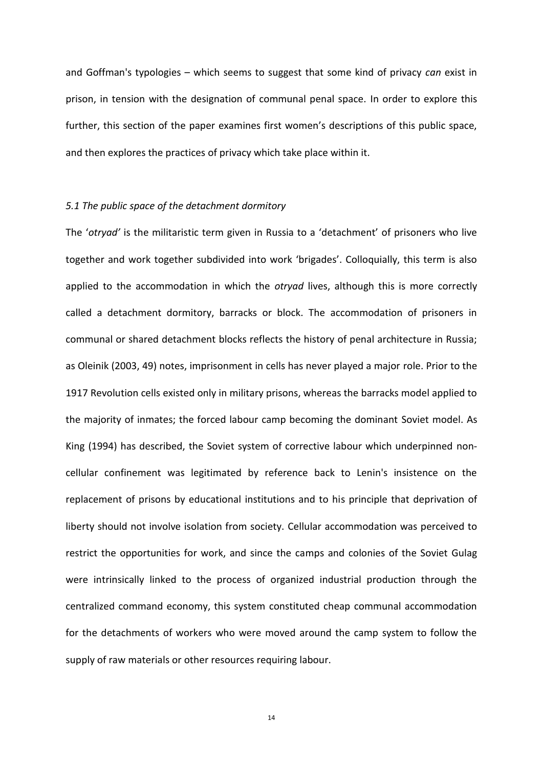and Goffman's typologies – which seems to suggest that some kind of privacy *can* exist in prison, in tension with the designation of communal penal space. In order to explore this further, this section of the paper examines first women's descriptions of this public space, and then explores the practices of privacy which take place within it.

#### *5.1 The public space of the detachment dormitory*

The '*otryad'* is the militaristic term given in Russia to a 'detachment' of prisoners who live together and work together subdivided into work 'brigades'. Colloquially, this term is also applied to the accommodation in which the *otryad* lives, although this is more correctly called a detachment dormitory, barracks or block. The accommodation of prisoners in communal or shared detachment blocks reflects the history of penal architecture in Russia; as Oleinik (2003, 49) notes, imprisonment in cells has never played a major role. Prior to the 1917 Revolution cells existed only in military prisons, whereas the barracks model applied to the majority of inmates; the forced labour camp becoming the dominant Soviet model. As King (1994) has described, the Soviet system of corrective labour which underpinned noncellular confinement was legitimated by reference back to Lenin's insistence on the replacement of prisons by educational institutions and to his principle that deprivation of liberty should not involve isolation from society. Cellular accommodation was perceived to restrict the opportunities for work, and since the camps and colonies of the Soviet Gulag were intrinsically linked to the process of organized industrial production through the centralized command economy, this system constituted cheap communal accommodation for the detachments of workers who were moved around the camp system to follow the supply of raw materials or other resources requiring labour.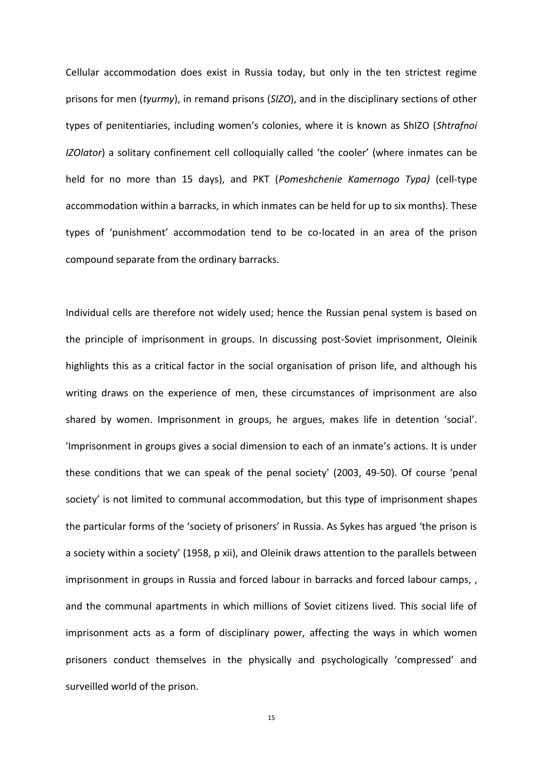Cellular accommodation does exist in Russia today, but only in the ten strictest regime prisons for men (*tyurmy*), in remand prisons (*SIZO*), and in the disciplinary sections of other types of penitentiaries, including women's colonies, where it is known as ShIZO (*Shtrafnoi IZOlator*) a solitary confinement cell colloquially called 'the cooler' (where inmates can be held for no more than 15 days), and PKT (*Pomeshchenie Kamernogo Typa)* (cell-type accommodation within a barracks, in which inmates can be held for up to six months). These types of 'punishment' accommodation tend to be co-located in an area of the prison compound separate from the ordinary barracks.

Individual cells are therefore not widely used; hence the Russian penal system is based on the principle of imprisonment in groups. In discussing post-Soviet imprisonment, Oleinik highlights this as a critical factor in the social organisation of prison life, and although his writing draws on the experience of men, these circumstances of imprisonment are also shared by women. Imprisonment in groups, he argues, makes life in detention 'social'. 'Imprisonment in groups gives a social dimension to each of an inmate's actions. It is under these conditions that we can speak of the penal society' (2003, 49-50). Of course 'penal society' is not limited to communal accommodation, but this type of imprisonment shapes the particular forms of the 'society of prisoners' in Russia. As Sykes has argued 'the prison is a society within a society' (1958, p xii), and Oleinik draws attention to the parallels between imprisonment in groups in Russia and forced labour in barracks and forced labour camps,, and the communal apartments in which millions of Soviet citizens lived. This social life of imprisonment acts as a form of disciplinary power, affecting the ways in which women prisoners conduct themselves in the physically and psychologically 'compressed' and surveilled world of the prison.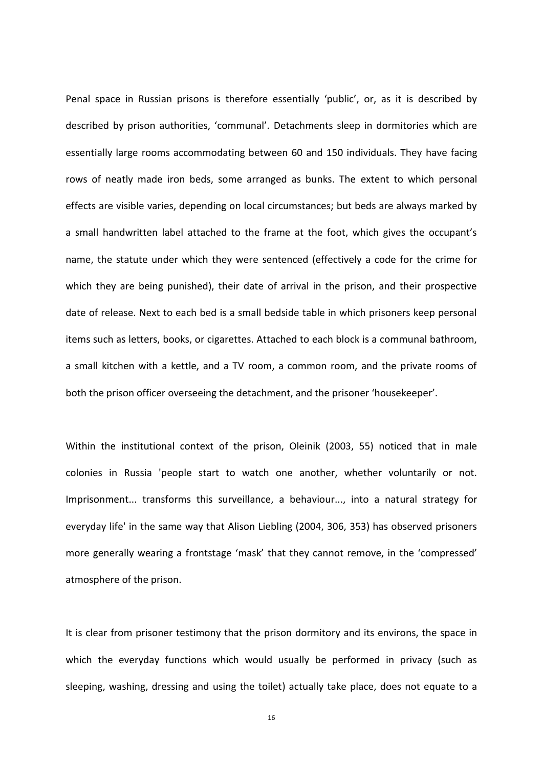Penal space in Russian prisons is therefore essentially 'public', or, as it is described by described by prison authorities, 'communal'. Detachments sleep in dormitories which are essentially large rooms accommodating between 60 and 150 individuals. They have facing rows of neatly made iron beds, some arranged as bunks. The extent to which personal effects are visible varies, depending on local circumstances; but beds are always marked by a small handwritten label attached to the frame at the foot, which gives the occupant's name, the statute under which they were sentenced (effectively a code for the crime for which they are being punished), their date of arrival in the prison, and their prospective date of release. Next to each bed is a small bedside table in which prisoners keep personal items such as letters, books, or cigarettes. Attached to each block is a communal bathroom, a small kitchen with a kettle, and a TV room, a common room, and the private rooms of both the prison officer overseeing the detachment, and the prisoner 'housekeeper'.

Within the institutional context of the prison, Oleinik (2003, 55) noticed that in male colonies in Russia 'people start to watch one another, whether voluntarily or not. Imprisonment... transforms this surveillance, a behaviour..., into a natural strategy for everyday life' in the same way that Alison Liebling (2004, 306, 353) has observed prisoners more generally wearing a frontstage 'mask' that they cannot remove, in the 'compressed' atmosphere of the prison.

It is clear from prisoner testimony that the prison dormitory and its environs, the space in which the everyday functions which would usually be performed in privacy (such as sleeping, washing, dressing and using the toilet) actually take place, does not equate to a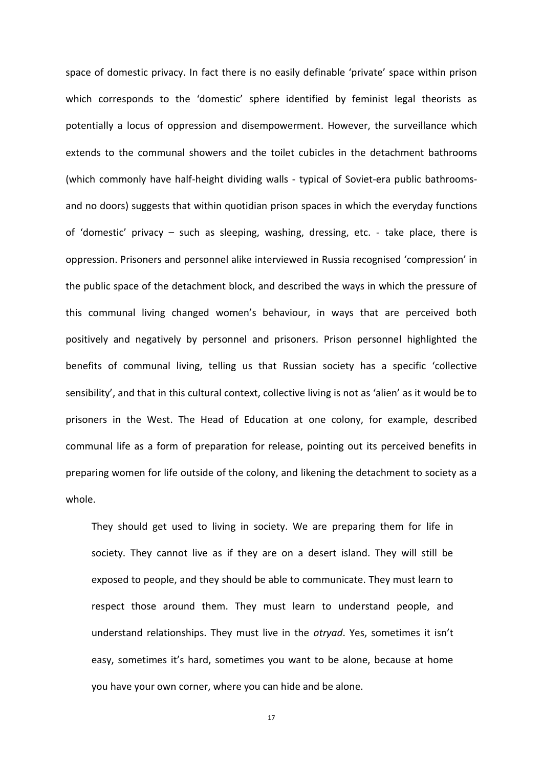space of domestic privacy. In fact there is no easily definable 'private' space within prison which corresponds to the 'domestic' sphere identified by feminist legal theorists as potentially a locus of oppression and disempowerment. However, the surveillance which extends to the communal showers and the toilet cubicles in the detachment bathrooms (which commonly have half-height dividing walls - typical of Soviet-era public bathroomsand no doors) suggests that within quotidian prison spaces in which the everyday functions of 'domestic' privacy – such as sleeping, washing, dressing, etc. - take place, there is oppression. Prisoners and personnel alike interviewed in Russia recognised 'compression' in the public space of the detachment block, and described the ways in which the pressure of this communal living changed women's behaviour, in ways that are perceived both positively and negatively by personnel and prisoners. Prison personnel highlighted the benefits of communal living, telling us that Russian society has a specific 'collective sensibility', and that in this cultural context, collective living is not as 'alien' as it would be to prisoners in the West. The Head of Education at one colony, for example, described communal life as a form of preparation for release, pointing out its perceived benefits in preparing women for life outside of the colony, and likening the detachment to society as a whole.

They should get used to living in society. We are preparing them for life in society. They cannot live as if they are on a desert island. They will still be exposed to people, and they should be able to communicate. They must learn to respect those around them. They must learn to understand people, and understand relationships. They must live in the *otryad*. Yes, sometimes it isn't easy, sometimes it's hard, sometimes you want to be alone, because at home you have your own corner, where you can hide and be alone.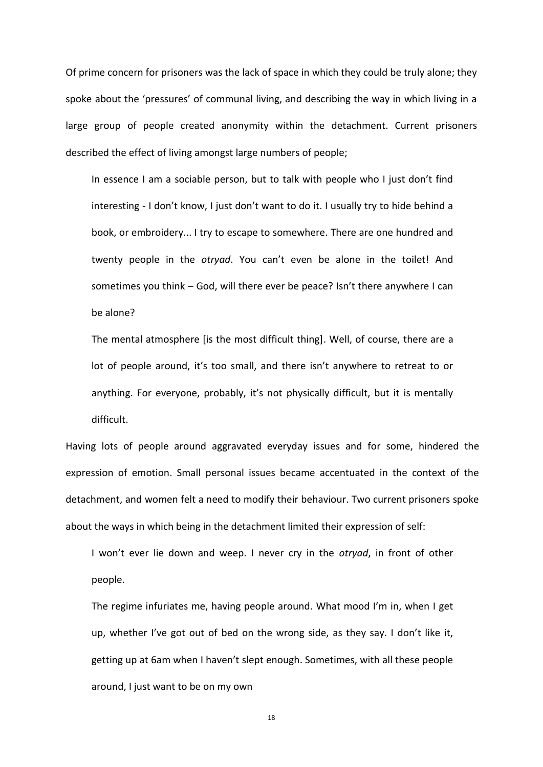Of prime concern for prisoners was the lack of space in which they could be truly alone; they spoke about the 'pressures' of communal living, and describing the way in which living in a large group of people created anonymity within the detachment. Current prisoners described the effect of living amongst large numbers of people;

In essence I am a sociable person, but to talk with people who I just don't find interesting - I don't know, I just don't want to do it. I usually try to hide behind a book, or embroidery... I try to escape to somewhere. There are one hundred and twenty people in the *otryad*. You can't even be alone in the toilet! And sometimes you think – God, will there ever be peace? Isn't there anywhere I can be alone?

The mental atmosphere [is the most difficult thing]. Well, of course, there are a lot of people around, it's too small, and there isn't anywhere to retreat to or anything. For everyone, probably, it's not physically difficult, but it is mentally difficult.

Having lots of people around aggravated everyday issues and for some, hindered the expression of emotion. Small personal issues became accentuated in the context of the detachment, and women felt a need to modify their behaviour. Two current prisoners spoke about the ways in which being in the detachment limited their expression of self:

I won't ever lie down and weep. I never cry in the *otryad*, in front of other people.

The regime infuriates me, having people around. What mood I'm in, when I get up, whether I've got out of bed on the wrong side, as they say. I don't like it, getting up at 6am when I haven't slept enough. Sometimes, with all these people around, I just want to be on my own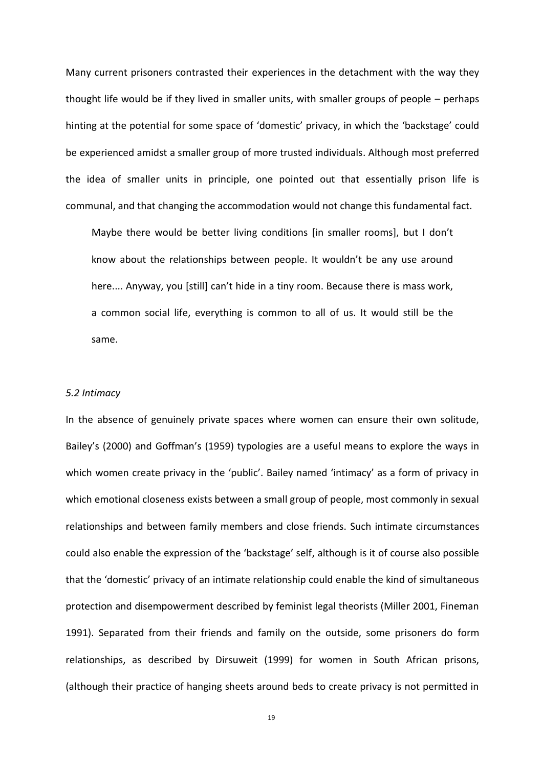Many current prisoners contrasted their experiences in the detachment with the way they thought life would be if they lived in smaller units, with smaller groups of people – perhaps hinting at the potential for some space of 'domestic' privacy, in which the 'backstage' could be experienced amidst a smaller group of more trusted individuals. Although most preferred the idea of smaller units in principle, one pointed out that essentially prison life is communal, and that changing the accommodation would not change this fundamental fact.

Maybe there would be better living conditions [in smaller rooms], but I don't know about the relationships between people. It wouldn't be any use around here.... Anyway, you [still] can't hide in a tiny room. Because there is mass work, a common social life, everything is common to all of us. It would still be the same.

### *5.2 Intimacy*

In the absence of genuinely private spaces where women can ensure their own solitude, Bailey's (2000) and Goffman's (1959) typologies are a useful means to explore the ways in which women create privacy in the 'public'. Bailey named 'intimacy' as a form of privacy in which emotional closeness exists between a small group of people, most commonly in sexual relationships and between family members and close friends. Such intimate circumstances could also enable the expression of the 'backstage' self, although is it of course also possible that the 'domestic' privacy of an intimate relationship could enable the kind of simultaneous protection and disempowerment described by feminist legal theorists (Miller 2001, Fineman 1991). Separated from their friends and family on the outside, some prisoners do form relationships, as described by Dirsuweit (1999) for women in South African prisons, (although their practice of hanging sheets around beds to create privacy is not permitted in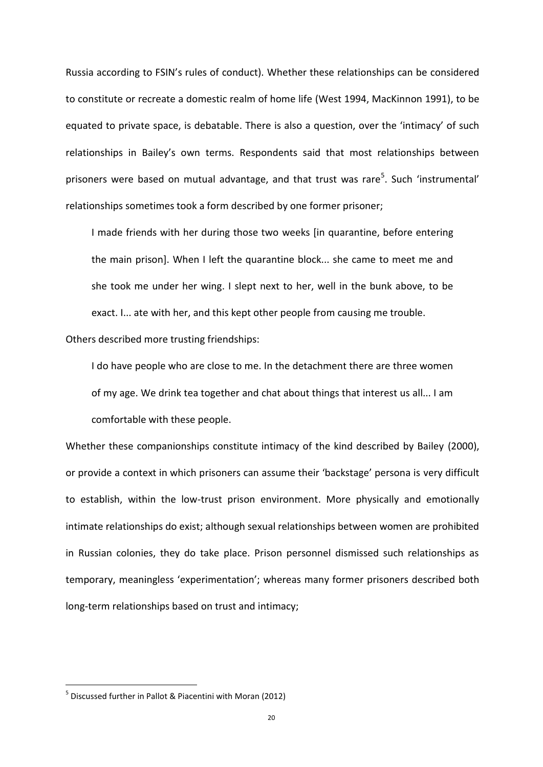Russia according to FSIN's rules of conduct). Whether these relationships can be considered to constitute or recreate a domestic realm of home life (West 1994, MacKinnon 1991), to be equated to private space, is debatable. There is also a question, over the 'intimacy' of such relationships in Bailey's own terms. Respondents said that most relationships between prisoners were based on mutual advantage, and that trust was rare<sup>5</sup>. Such 'instrumental' relationships sometimes took a form described by one former prisoner;

I made friends with her during those two weeks [in quarantine, before entering the main prison]. When I left the quarantine block... she came to meet me and she took me under her wing. I slept next to her, well in the bunk above, to be exact. I... ate with her, and this kept other people from causing me trouble.

Others described more trusting friendships:

I do have people who are close to me. In the detachment there are three women of my age. We drink tea together and chat about things that interest us all... I am comfortable with these people.

Whether these companionships constitute intimacy of the kind described by Bailey (2000), or provide a context in which prisoners can assume their 'backstage' persona is very difficult to establish, within the low-trust prison environment. More physically and emotionally intimate relationships do exist; although sexual relationships between women are prohibited in Russian colonies, they do take place. Prison personnel dismissed such relationships as temporary, meaningless 'experimentation'; whereas many former prisoners described both long-term relationships based on trust and intimacy;

<sup>5</sup> Discussed further in Pallot & Piacentini with Moran (2012)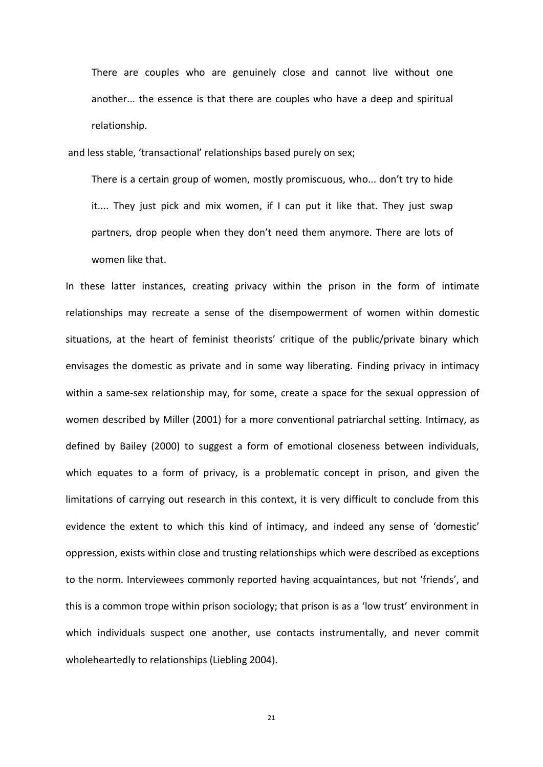There are couples who are genuinely close and cannot live without one another... the essence is that there are couples who have a deep and spiritual relationship.

and less stable, 'transactional' relationships based purely on sex;

There is a certain group of women, mostly promiscuous, who... don't try to hide it.... They just pick and mix women, if I can put it like that. They just swap partners, drop people when they don't need them anymore. There are lots of women like that.

In these latter instances, creating privacy within the prison in the form of intimate relationships may recreate a sense of the disempowerment of women within domestic situations, at the heart of feminist theorists' critique of the public/private binary which envisages the domestic as private and in some way liberating. Finding privacy in intimacy within a same-sex relationship may, for some, create a space for the sexual oppression of women described by Miller (2001) for a more conventional patriarchal setting. Intimacy, as defined by Bailey (2000) to suggest a form of emotional closeness between individuals, which equates to a form of privacy, is a problematic concept in prison, and given the limitations of carrying out research in this context, it is very difficult to conclude from this evidence the extent to which this kind of intimacy, and indeed any sense of 'domestic' oppression, exists within close and trusting relationships which were described as exceptions to the norm. Interviewees commonly reported having acquaintances, but not 'friends', and this is a common trope within prison sociology; that prison is as a 'low trust' environment in which individuals suspect one another, use contacts instrumentally, and never commit wholeheartedly to relationships (Liebling 2004).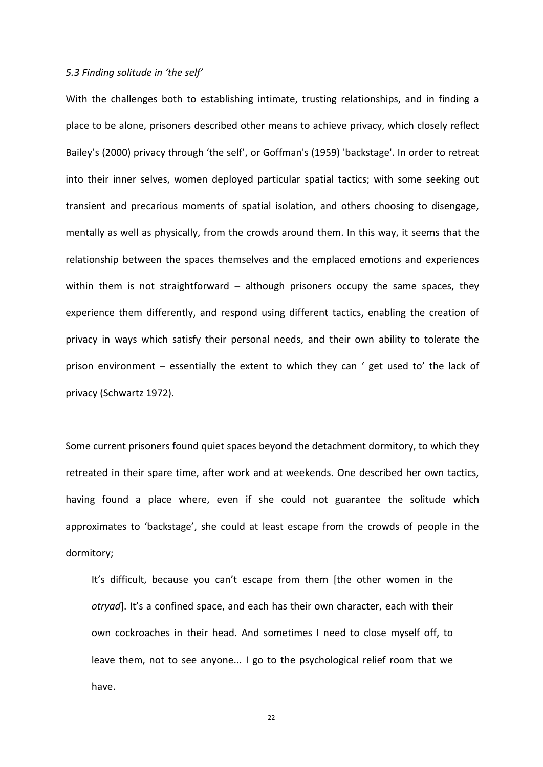#### *5.3 Finding solitude in 'the self'*

With the challenges both to establishing intimate, trusting relationships, and in finding a place to be alone, prisoners described other means to achieve privacy, which closely reflect Bailey's (2000) privacy through 'the self', or Goffman's (1959) 'backstage'. In order to retreat into their inner selves, women deployed particular spatial tactics; with some seeking out transient and precarious moments of spatial isolation, and others choosing to disengage, mentally as well as physically, from the crowds around them. In this way, it seems that the relationship between the spaces themselves and the emplaced emotions and experiences within them is not straightforward  $-$  although prisoners occupy the same spaces, they experience them differently, and respond using different tactics, enabling the creation of privacy in ways which satisfy their personal needs, and their own ability to tolerate the prison environment – essentially the extent to which they can ' get used to' the lack of privacy (Schwartz 1972).

Some current prisoners found quiet spaces beyond the detachment dormitory, to which they retreated in their spare time, after work and at weekends. One described her own tactics, having found a place where, even if she could not guarantee the solitude which approximates to 'backstage', she could at least escape from the crowds of people in the dormitory;

It's difficult, because you can't escape from them [the other women in the *otryad*]. It's a confined space, and each has their own character, each with their own cockroaches in their head. And sometimes I need to close myself off, to leave them, not to see anyone... I go to the psychological relief room that we have.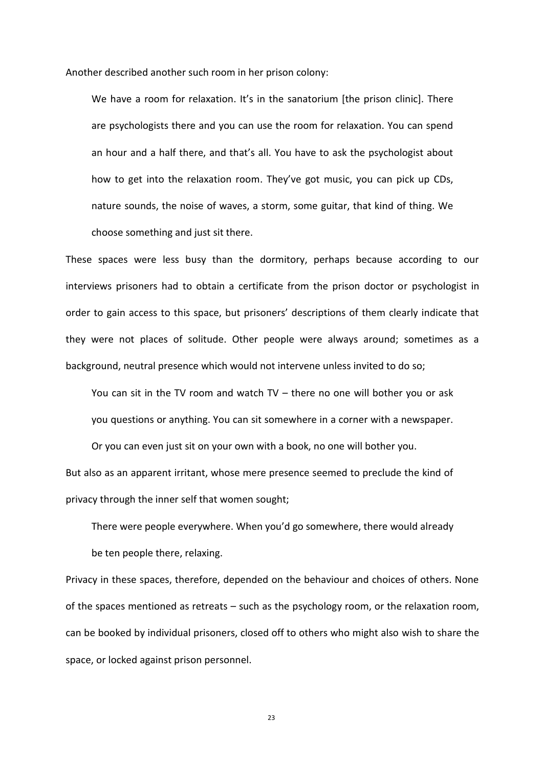Another described another such room in her prison colony:

We have a room for relaxation. It's in the sanatorium  $\delta$  the prison clinic. There are psychologists there and you can use the room for relaxation. You can spend an hour and a half there, and that's all. You have to ask the psychologist about how to get into the relaxation room. They've got music, you can pick up CDs, nature sounds, the noise of waves, a storm, some guitar, that kind of thing. We choose something and just sit there.

These spaces were less busy than the dormitory, perhaps because according to our interviews prisoners had to obtain a certificate from the prison doctor or psychologist in order to gain access to this space, but prisoners' descriptions of them clearly indicate that they were not places of solitude. Other people were always around; sometimes as a background, neutral presence which would not intervene unless invited to do so;

You can sit in the TV room and watch TV – there no one will bother you or ask you questions or anything. You can sit somewhere in a corner with a newspaper.

Or you can even just sit on your own with a book, no one will bother you.

But also as an apparent irritant, whose mere presence seemed to preclude the kind of privacy through the inner self that women sought;

There were people everywhere. When you'd go somewhere, there would already

be ten people there, relaxing.

Privacy in these spaces, therefore, depended on the behaviour and choices of others. None of the spaces mentioned as retreats – such as the psychology room, or the relaxation room, can be booked by individual prisoners, closed off to others who might also wish to share the space, or locked against prison personnel.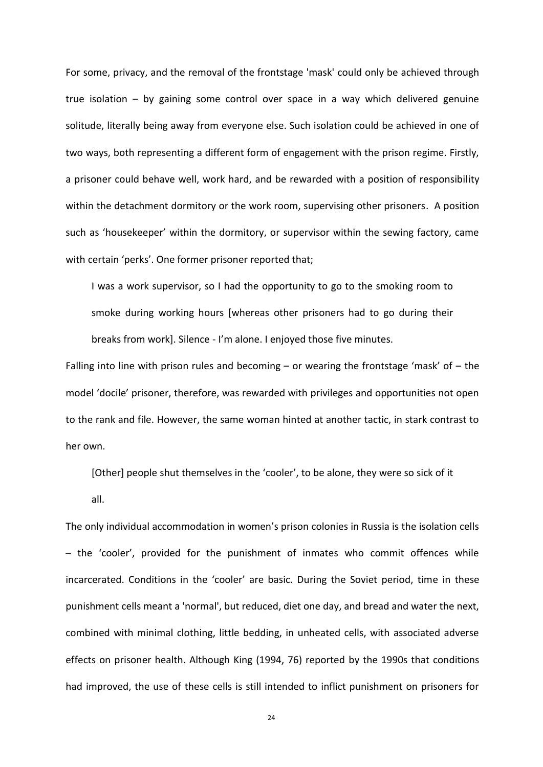For some, privacy, and the removal of the frontstage 'mask' could only be achieved through true isolation – by gaining some control over space in a way which delivered genuine solitude, literally being away from everyone else. Such isolation could be achieved in one of two ways, both representing a different form of engagement with the prison regime. Firstly, a prisoner could behave well, work hard, and be rewarded with a position of responsibility within the detachment dormitory or the work room, supervising other prisoners. A position such as 'housekeeper' within the dormitory, or supervisor within the sewing factory, came with certain 'perks'. One former prisoner reported that;

I was a work supervisor, so I had the opportunity to go to the smoking room to smoke during working hours [whereas other prisoners had to go during their breaks from work]. Silence - I'm alone. I enjoyed those five minutes.

Falling into line with prison rules and becoming  $-$  or wearing the frontstage 'mask' of  $-$  the model 'docile' prisoner, therefore, was rewarded with privileges and opportunities not open to the rank and file. However, the same woman hinted at another tactic, in stark contrast to her own.

[Other] people shut themselves in the 'cooler', to be alone, they were so sick of it all.

The only individual accommodation in women's prison colonies in Russia is the isolation cells – the 'cooler', provided for the punishment of inmates who commit offences while incarcerated. Conditions in the 'cooler' are basic. During the Soviet period, time in these punishment cells meant a 'normal', but reduced, diet one day, and bread and water the next, combined with minimal clothing, little bedding, in unheated cells, with associated adverse effects on prisoner health. Although King (1994, 76) reported by the 1990s that conditions had improved, the use of these cells is still intended to inflict punishment on prisoners for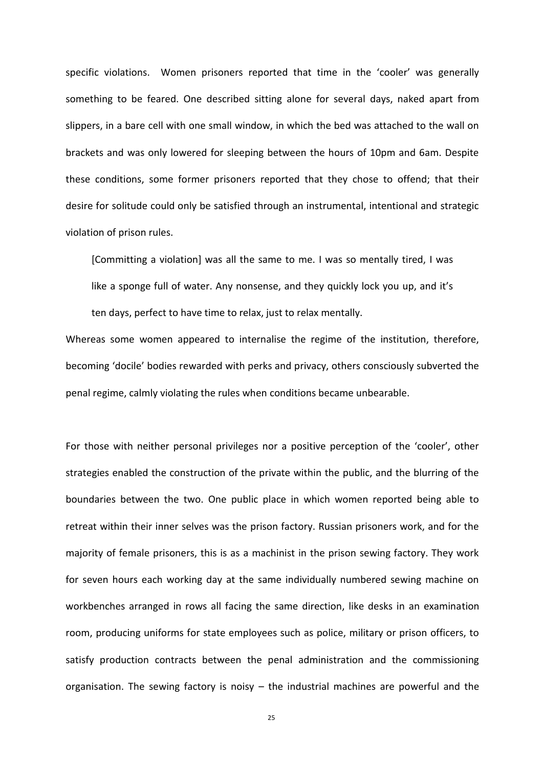specific violations. Women prisoners reported that time in the 'cooler' was generally something to be feared. One described sitting alone for several days, naked apart from slippers, in a bare cell with one small window, in which the bed was attached to the wall on brackets and was only lowered for sleeping between the hours of 10pm and 6am. Despite these conditions, some former prisoners reported that they chose to offend; that their desire for solitude could only be satisfied through an instrumental, intentional and strategic violation of prison rules.

[Committing a violation] was all the same to me. I was so mentally tired, I was like a sponge full of water. Any nonsense, and they quickly lock you up, and it's ten days, perfect to have time to relax, just to relax mentally.

Whereas some women appeared to internalise the regime of the institution, therefore, becoming 'docile' bodies rewarded with perks and privacy, others consciously subverted the penal regime, calmly violating the rules when conditions became unbearable.

For those with neither personal privileges nor a positive perception of the 'cooler', other strategies enabled the construction of the private within the public, and the blurring of the boundaries between the two. One public place in which women reported being able to retreat within their inner selves was the prison factory. Russian prisoners work, and for the majority of female prisoners, this is as a machinist in the prison sewing factory. They work for seven hours each working day at the same individually numbered sewing machine on workbenches arranged in rows all facing the same direction, like desks in an examination room, producing uniforms for state employees such as police, military or prison officers, to satisfy production contracts between the penal administration and the commissioning organisation. The sewing factory is noisy  $-$  the industrial machines are powerful and the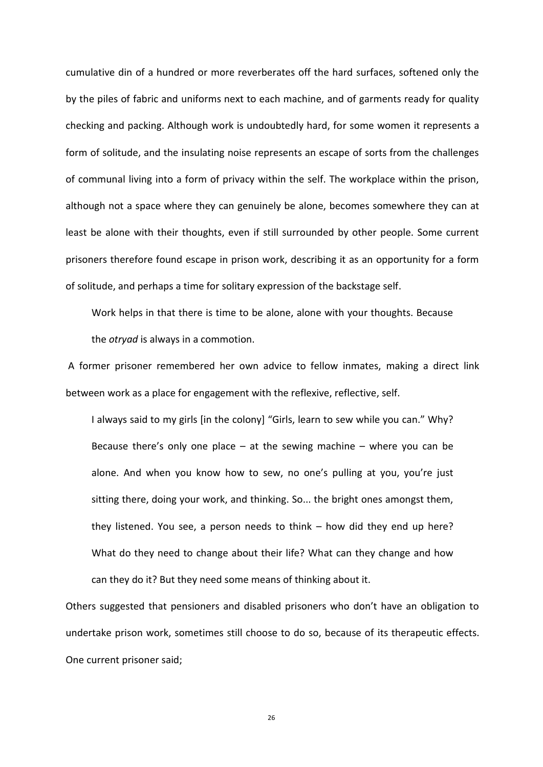cumulative din of a hundred or more reverberates off the hard surfaces, softened only the by the piles of fabric and uniforms next to each machine, and of garments ready for quality checking and packing. Although work is undoubtedly hard, for some women it represents a form of solitude, and the insulating noise represents an escape of sorts from the challenges of communal living into a form of privacy within the self. The workplace within the prison, although not a space where they can genuinely be alone, becomes somewhere they can at least be alone with their thoughts, even if still surrounded by other people. Some current prisoners therefore found escape in prison work, describing it as an opportunity for a form of solitude, and perhaps a time for solitary expression of the backstage self.

Work helps in that there is time to be alone, alone with your thoughts. Because the *otryad* is always in a commotion.

A former prisoner remembered her own advice to fellow inmates, making a direct link between work as a place for engagement with the reflexive, reflective, self.

I always said to my girls [in the colony] "Girls, learn to sew while you can." Why? Because there's only one place  $-$  at the sewing machine  $-$  where you can be alone. And when you know how to sew, no one's pulling at you, you're just sitting there, doing your work, and thinking. So... the bright ones amongst them, they listened. You see, a person needs to think – how did they end up here? What do they need to change about their life? What can they change and how can they do it? But they need some means of thinking about it.

Others suggested that pensioners and disabled prisoners who don't have an obligation to undertake prison work, sometimes still choose to do so, because of its therapeutic effects. One current prisoner said;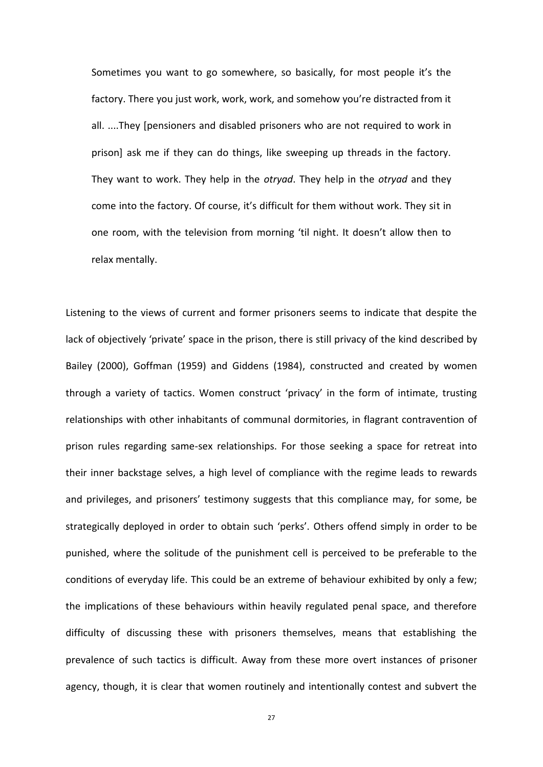Sometimes you want to go somewhere, so basically, for most people it's the factory. There you just work, work, work, and somehow you're distracted from it all. ....They [pensioners and disabled prisoners who are not required to work in prison] ask me if they can do things, like sweeping up threads in the factory. They want to work. They help in the *otryad*. They help in the *otryad* and they come into the factory. Of course, it's difficult for them without work. They sit in one room, with the television from morning 'til night. It doesn't allow then to relax mentally.

Listening to the views of current and former prisoners seems to indicate that despite the lack of objectively 'private' space in the prison, there is still privacy of the kind described by Bailey (2000), Goffman (1959) and Giddens (1984), constructed and created by women through a variety of tactics. Women construct 'privacy' in the form of intimate, trusting relationships with other inhabitants of communal dormitories, in flagrant contravention of prison rules regarding same-sex relationships. For those seeking a space for retreat into their inner backstage selves, a high level of compliance with the regime leads to rewards and privileges, and prisoners' testimony suggests that this compliance may, for some, be strategically deployed in order to obtain such 'perks'. Others offend simply in order to be punished, where the solitude of the punishment cell is perceived to be preferable to the conditions of everyday life. This could be an extreme of behaviour exhibited by only a few; the implications of these behaviours within heavily regulated penal space, and therefore difficulty of discussing these with prisoners themselves, means that establishing the prevalence of such tactics is difficult. Away from these more overt instances of prisoner agency, though, it is clear that women routinely and intentionally contest and subvert the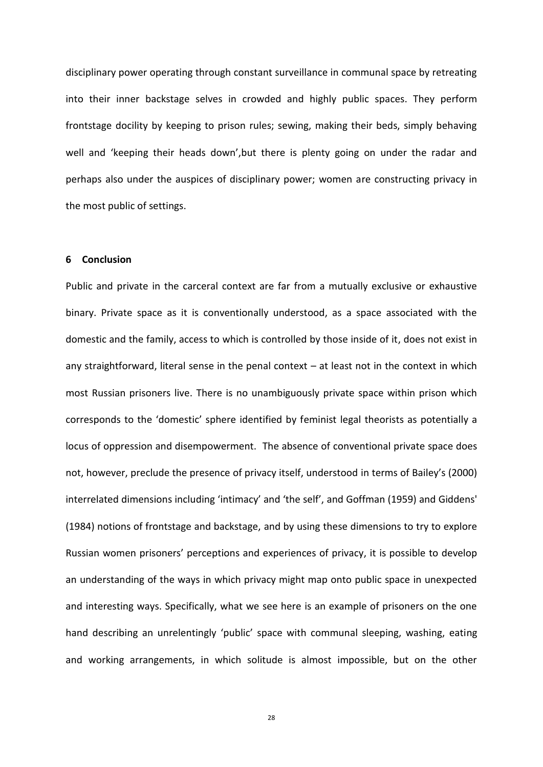disciplinary power operating through constant surveillance in communal space by retreating into their inner backstage selves in crowded and highly public spaces. They perform frontstage docility by keeping to prison rules; sewing, making their beds, simply behaving well and 'keeping their heads down',but there is plenty going on under the radar and perhaps also under the auspices of disciplinary power; women are constructing privacy in the most public of settings.

#### **6 Conclusion**

Public and private in the carceral context are far from a mutually exclusive or exhaustive binary. Private space as it is conventionally understood, as a space associated with the domestic and the family, access to which is controlled by those inside of it, does not exist in any straightforward, literal sense in the penal context – at least not in the context in which most Russian prisoners live. There is no unambiguously private space within prison which corresponds to the 'domestic' sphere identified by feminist legal theorists as potentially a locus of oppression and disempowerment. The absence of conventional private space does not, however, preclude the presence of privacy itself, understood in terms of Bailey's (2000) interrelated dimensions including 'intimacy' and 'the self', and Goffman (1959) and Giddens' (1984) notions of frontstage and backstage, and by using these dimensions to try to explore Russian women prisoners' perceptions and experiences of privacy, it is possible to develop an understanding of the ways in which privacy might map onto public space in unexpected and interesting ways. Specifically, what we see here is an example of prisoners on the one hand describing an unrelentingly 'public' space with communal sleeping, washing, eating and working arrangements, in which solitude is almost impossible, but on the other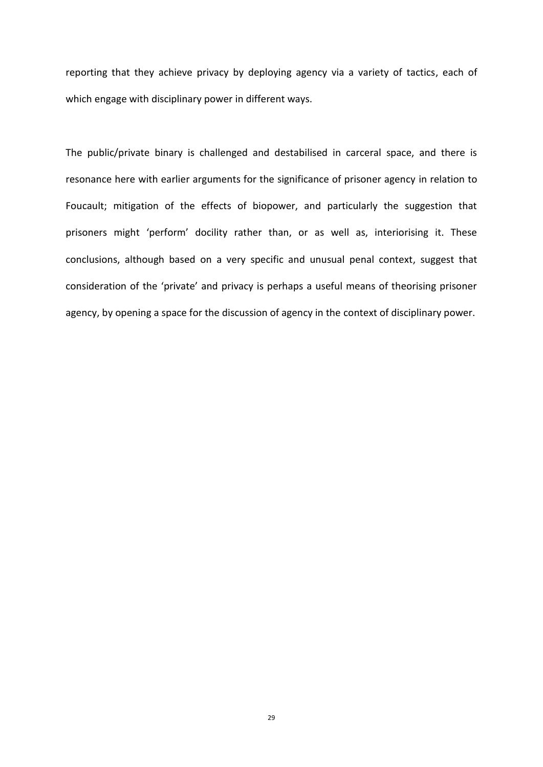reporting that they achieve privacy by deploying agency via a variety of tactics, each of which engage with disciplinary power in different ways.

The public/private binary is challenged and destabilised in carceral space, and there is resonance here with earlier arguments for the significance of prisoner agency in relation to Foucault; mitigation of the effects of biopower, and particularly the suggestion that prisoners might 'perform' docility rather than, or as well as, interiorising it. These conclusions, although based on a very specific and unusual penal context, suggest that consideration of the 'private' and privacy is perhaps a useful means of theorising prisoner agency, by opening a space for the discussion of agency in the context of disciplinary power.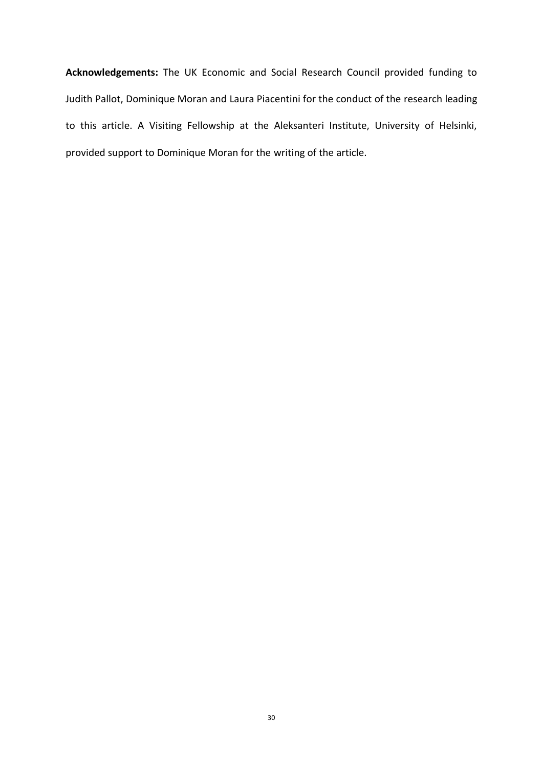**Acknowledgements:** The UK Economic and Social Research Council provided funding to Judith Pallot, Dominique Moran and Laura Piacentini for the conduct of the research leading to this article. A Visiting Fellowship at the Aleksanteri Institute, University of Helsinki, provided support to Dominique Moran for the writing of the article.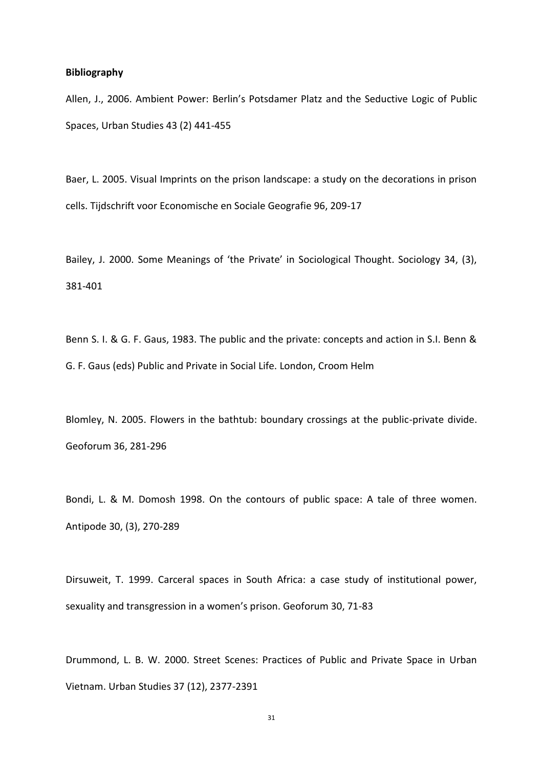### **Bibliography**

Allen, J., 2006. Ambient Power: Berlin's Potsdamer Platz and the Seductive Logic of Public Spaces, Urban Studies 43 (2) 441-455

Baer, L. 2005. Visual Imprints on the prison landscape: a study on the decorations in prison cells. Tijdschrift voor Economische en Sociale Geografie 96, 209-17

Bailey, J. 2000. Some Meanings of 'the Private' in Sociological Thought. Sociology 34, (3), 381-401

Benn S. I. & G. F. Gaus, 1983. The public and the private: concepts and action in S.I. Benn & G. F. Gaus (eds) Public and Private in Social Life. London, Croom Helm

Blomley, N. 2005. Flowers in the bathtub: boundary crossings at the public-private divide. Geoforum 36, 281-296

Bondi, L. & M. Domosh 1998. On the contours of public space: A tale of three women. Antipode 30, (3), 270-289

Dirsuweit, T. 1999. Carceral spaces in South Africa: a case study of institutional power, sexuality and transgression in a women's prison. Geoforum 30, 71-83

Drummond, L. B. W. 2000. Street Scenes: Practices of Public and Private Space in Urban Vietnam. Urban Studies 37 (12), 2377-2391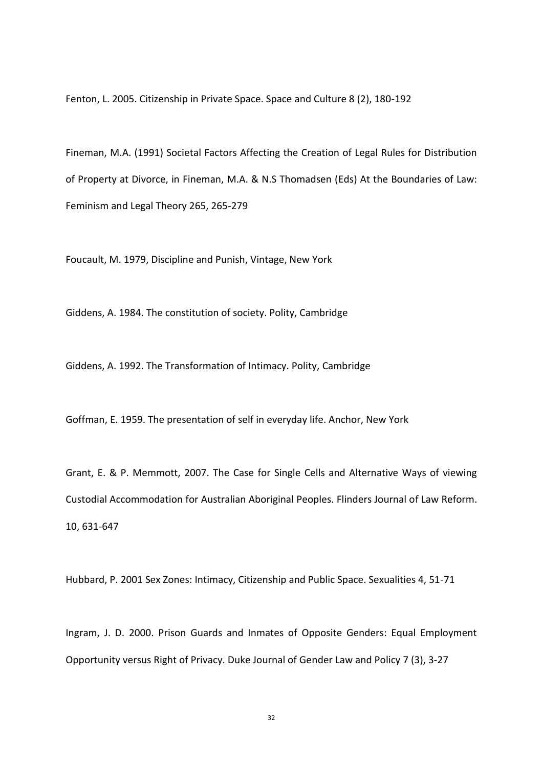Fenton, L. 2005. Citizenship in Private Space. Space and Culture 8 (2), 180-192

Fineman, M.A. (1991) Societal Factors Affecting the Creation of Legal Rules for Distribution of Property at Divorce, in Fineman, M.A. & N.S Thomadsen (Eds) At the Boundaries of Law: Feminism and Legal Theory 265, 265-279

Foucault, M. 1979, Discipline and Punish, Vintage, New York

Giddens, A. 1984. The constitution of society. Polity, Cambridge

Giddens, A. 1992. The Transformation of Intimacy. Polity, Cambridge

Goffman, E. 1959. The presentation of self in everyday life. Anchor, New York

Grant, E. & P. Memmott, 2007. The Case for Single Cells and Alternative Ways of viewing Custodial Accommodation for Australian Aboriginal Peoples. Flinders Journal of Law Reform. 10, 631-647

Hubbard, P. 2001 Sex Zones: Intimacy, Citizenship and Public Space. Sexualities 4, 51-71

Ingram, J. D. 2000. Prison Guards and Inmates of Opposite Genders: Equal Employment Opportunity versus Right of Privacy. Duke Journal of Gender Law and Policy 7 (3), 3-27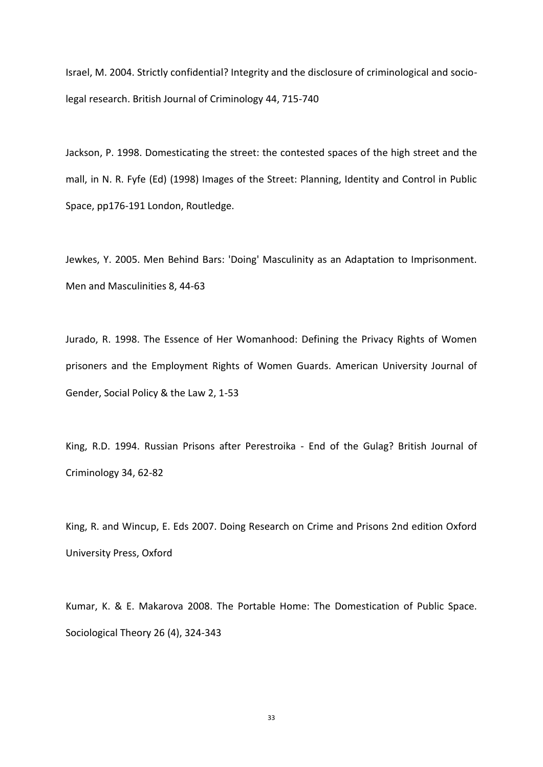Israel, M. 2004. Strictly confidential? Integrity and the disclosure of criminological and sociolegal research. British Journal of Criminology 44, 715-740

Jackson, P. 1998. Domesticating the street: the contested spaces of the high street and the mall, in N. R. Fyfe (Ed) (1998) Images of the Street: Planning, Identity and Control in Public Space, pp176-191 London, Routledge.

Jewkes, Y. 2005. Men Behind Bars: 'Doing' Masculinity as an Adaptation to Imprisonment. Men and Masculinities 8, 44-63

Jurado, R. 1998. The Essence of Her Womanhood: Defining the Privacy Rights of Women prisoners and the Employment Rights of Women Guards. American University Journal of Gender, Social Policy & the Law 2, 1-53

King, R.D. 1994. Russian Prisons after Perestroika - End of the Gulag? British Journal of Criminology 34, 62-82

King, R. and Wincup, E. Eds 2007. Doing Research on Crime and Prisons 2nd edition Oxford University Press, Oxford

Kumar, K. & E. Makarova 2008. The Portable Home: The Domestication of Public Space. Sociological Theory 26 (4), 324-343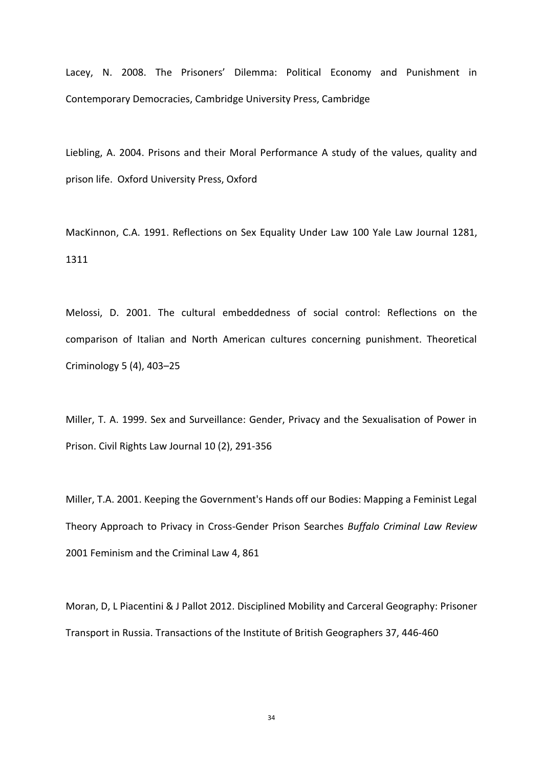Lacey, N. 2008. The Prisoners' Dilemma: Political Economy and Punishment in Contemporary Democracies, Cambridge University Press, Cambridge

Liebling, A. 2004. Prisons and their Moral Performance A study of the values, quality and prison life. Oxford University Press, Oxford

MacKinnon, C.A. 1991. Reflections on Sex Equality Under Law 100 Yale Law Journal 1281, 1311

Melossi, D. 2001. The cultural embeddedness of social control: Reflections on the comparison of Italian and North American cultures concerning punishment. Theoretical Criminology 5 (4), 403–25

Miller, T. A. 1999. Sex and Surveillance: Gender, Privacy and the Sexualisation of Power in Prison. Civil Rights Law Journal 10 (2), 291-356

Miller, T.A. 2001. Keeping the Government's Hands off our Bodies: Mapping a Feminist Legal Theory Approach to Privacy in Cross-Gender Prison Searches *Buffalo Criminal Law Review* 2001 Feminism and the Criminal Law 4, 861

Moran, D, L Piacentini & J Pallot 2012. Disciplined Mobility and Carceral Geography: Prisoner Transport in Russia. Transactions of the Institute of British Geographers 37, 446-460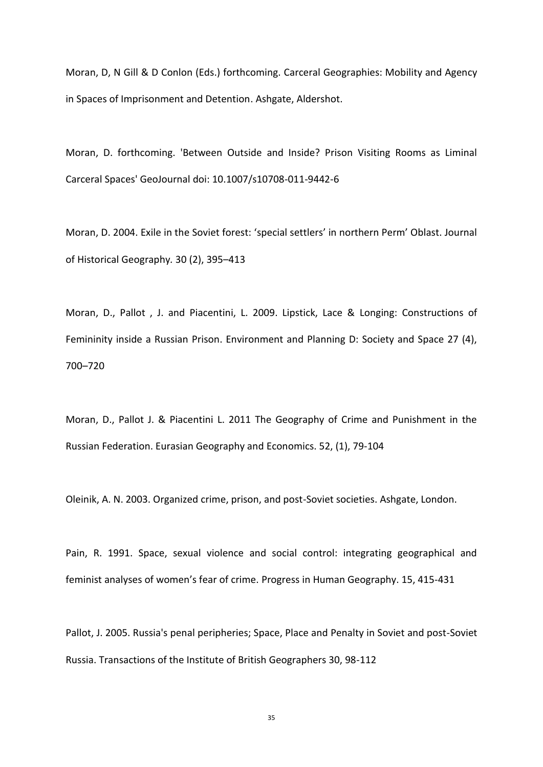Moran, D, N Gill & D Conlon (Eds.) forthcoming. Carceral Geographies: Mobility and Agency in Spaces of Imprisonment and Detention. Ashgate, Aldershot.

Moran, D. forthcoming. 'Between Outside and Inside? Prison Visiting Rooms as Liminal Carceral Spaces' GeoJournal doi: 10.1007/s10708-011-9442-6

Moran, D. 2004. Exile in the Soviet forest: 'special settlers' in northern Perm' Oblast. Journal of Historical Geography*.* 30 (2), 395–413

Moran, D., Pallot , J. and Piacentini, L. 2009. Lipstick, Lace & Longing: Constructions of Femininity inside a Russian Prison. Environment and Planning D: Society and Space 27 (4), 700–720

Moran, D., Pallot J. & Piacentini L. 2011 The Geography of Crime and Punishment in the Russian Federation. Eurasian Geography and Economics. 52, (1), 79-104

Oleinik, A. N. 2003. Organized crime, prison, and post-Soviet societies. Ashgate, London.

Pain, R. 1991. Space, sexual violence and social control: integrating geographical and feminist analyses of women's fear of crime. Progress in Human Geography. 15, 415-431

Pallot, J. 2005. Russia's penal peripheries; Space, Place and Penalty in Soviet and post-Soviet Russia. Transactions of the Institute of British Geographers 30, 98-112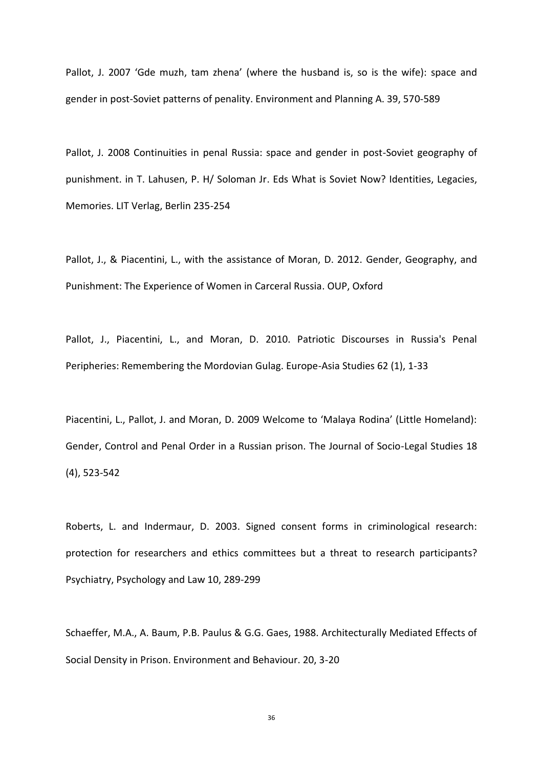Pallot, J. 2007 'Gde muzh, tam zhena' (where the husband is, so is the wife): space and gender in post-Soviet patterns of penality. Environment and Planning A. 39, 570-589

Pallot, J. 2008 Continuities in penal Russia: space and gender in post-Soviet geography of punishment. in T. Lahusen, P. H/ Soloman Jr. Eds What is Soviet Now? Identities, Legacies, Memories. LIT Verlag, Berlin 235-254

Pallot, J., & Piacentini, L., with the assistance of Moran, D. 2012. Gender, Geography, and Punishment: The Experience of Women in Carceral Russia. OUP, Oxford

Pallot, J., Piacentini, L., and Moran, D. 2010. Patriotic Discourses in Russia's Penal Peripheries: Remembering the Mordovian Gulag. Europe-Asia Studies 62 (1), 1-33

Piacentini, L., Pallot, J. and Moran, D. 2009 Welcome to 'Malaya Rodina' (Little Homeland): Gender, Control and Penal Order in a Russian prison. The Journal of Socio-Legal Studies 18 (4), 523-542

Roberts, L. and Indermaur, D. 2003. Signed consent forms in criminological research: protection for researchers and ethics committees but a threat to research participants? Psychiatry, Psychology and Law 10, 289-299

Schaeffer, M.A., A. Baum, P.B. Paulus & G.G. Gaes, 1988. Architecturally Mediated Effects of Social Density in Prison. Environment and Behaviour. 20, 3-20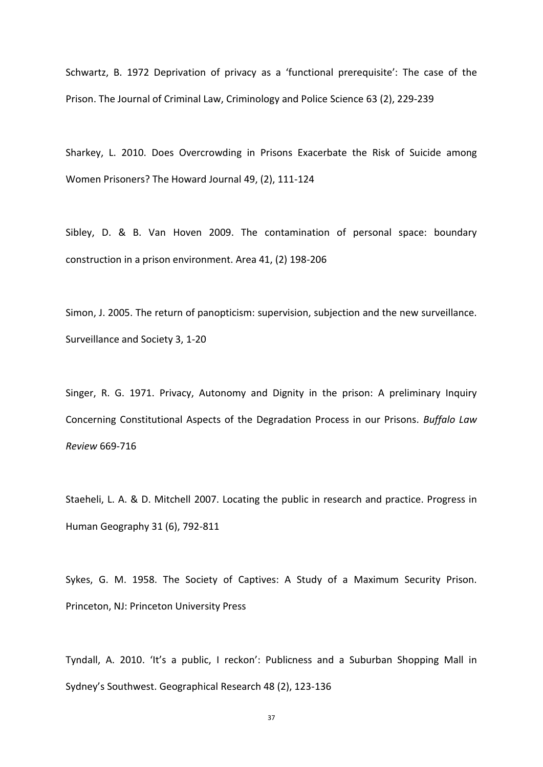Schwartz, B. 1972 Deprivation of privacy as a 'functional prerequisite': The case of the Prison. The Journal of Criminal Law, Criminology and Police Science 63 (2), 229-239

Sharkey, L. 2010. Does Overcrowding in Prisons Exacerbate the Risk of Suicide among Women Prisoners? The Howard Journal 49, (2), 111-124

Sibley, D. & B. Van Hoven 2009. The contamination of personal space: boundary construction in a prison environment. Area 41, (2) 198-206

Simon, J. 2005. The return of panopticism: supervision, subjection and the new surveillance. Surveillance and Society 3, 1-20

Singer, R. G. 1971. Privacy, Autonomy and Dignity in the prison: A preliminary Inquiry Concerning Constitutional Aspects of the Degradation Process in our Prisons*. Buffalo Law Review* 669-716

Staeheli, L. A. & D. Mitchell 2007. Locating the public in research and practice. Progress in Human Geography 31 (6), 792-811

Sykes, G. M. 1958. The Society of Captives: A Study of a Maximum Security Prison. Princeton, NJ: Princeton University Press

Tyndall, A. 2010. 'It's a public, I reckon': Publicness and a Suburban Shopping Mall in Sydney's Southwest. Geographical Research 48 (2), 123-136